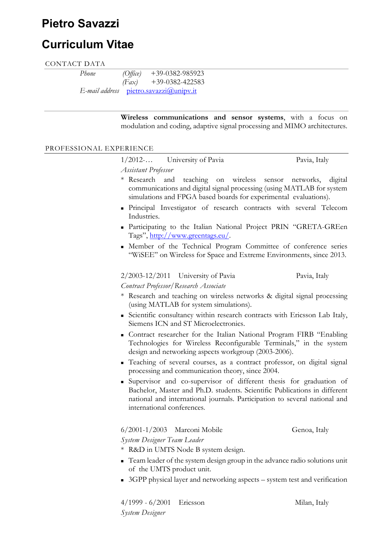# Pietro Savazzi

# Curriculum Vitae

#### CONTACT DATA

| <i>Phone</i> | $(O$ ffice) | $+39-0382-985923$                      |
|--------------|-------------|----------------------------------------|
|              | (Fax)       | $+39-0382-422583$                      |
|              |             | E-mail address pietro.savazzi@unipv.it |

Wireless communications and sensor systems, with a focus on modulation and coding, adaptive signal processing and MIMO architectures.

#### PROFESSIONAL EXPERIENCE

| $1/2012$ -          | University of Pavia | Pavia, Italy |
|---------------------|---------------------|--------------|
| Assistant Professor |                     |              |

- \* Research and teaching on wireless sensor networks, digital communications and digital signal processing (using MATLAB for system simulations and FPGA based boards for experimental evaluations).
- Principal Investigator of research contracts with several Telecom Industries.
- Participating to the Italian National Project PRIN "GRETA-GREen Tags", http://www.greentags.eu/.
- Member of the Technical Program Committee of conference series "WiSEE" on Wireless for Space and Extreme Environments, since 2013.

2/2003-12/2011 University of Pavia Pavia, Italy Contract Professor/Research Associate

- \* Research and teaching on wireless networks & digital signal processing (using MATLAB for system simulations).
- Scientific consultancy within research contracts with Ericsson Lab Italy, Siemens ICN and ST Microelectronics.
- Contract researcher for the Italian National Program FIRB "Enabling Technologies for Wireless Reconfigurable Terminals," in the system design and networking aspects workgroup (2003-2006).
- Teaching of several courses, as a contract professor, on digital signal processing and communication theory, since 2004.
- Supervisor and co-supervisor of different thesis for graduation of Bachelor, Master and Ph.D. students. Scientific Publications in different national and international journals. Participation to several national and international conferences.

6/2001-1/2003 Marconi Mobile Genoa, Italy System Designer Team Leader

- \* R&D in UMTS Node B system design.
- Team leader of the system design group in the advance radio solutions unit of the UMTS product unit.
- 3GPP physical layer and networking aspects system test and verification

4/1999 - 6/2001 Ericsson Milan, Italy System Designer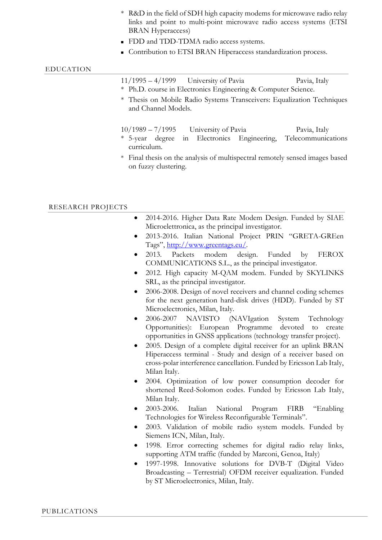- \* R&D in the field of SDH high capacity modems for microwave radio relay links and point to multi-point microwave radio access systems (ETSI BRAN Hyperaccess)
- **FDD** and TDD-TDMA radio access systems.
- **Contribution to ETSI BRAN Hiperaccess standardization process.**

#### EDUCATION

| $11/1995 - 4/1999$ University of Pavia<br>* Ph.D. course in Electronics Engineering & Computer Science. |  | Pavia, Italy                                                                   |
|---------------------------------------------------------------------------------------------------------|--|--------------------------------------------------------------------------------|
| and Channel Models.                                                                                     |  | * Thesis on Mobile Radio Systems Transceivers: Equalization Techniques         |
| $10/1989 - 7/1995$ University of Pavia<br>curriculum.                                                   |  | Pavia, Italy<br>* 5-year degree in Electronics Engineering, Telecommunications |
| on fuzzy clustering.                                                                                    |  | * Final thesis on the analysis of multispectral remotely sensed images based   |

#### RESEARCH PROJECTS

- 2014-2016. Higher Data Rate Modem Design. Funded by SIAE Microelettronica, as the principal investigator.
- 2013-2016. Italian National Project PRIN "GRETA-GREen Tags", http://www.greentags.eu/.
- 2013. Packets modem design. Funded by FEROX COMMUNICATIONS S.L., as the principal investigator.
- 2012. High capacity M-QAM modem. Funded by SKYLINKS SRL, as the principal investigator.
- 2006-2008. Design of novel receivers and channel coding schemes for the next generation hard-disk drives (HDD). Funded by ST Microelectronics, Milan, Italy.
- 2006-2007 NAVISTO (NAVIgation System Technology Opportunities): European Programme devoted to create opportunities in GNSS applications (technology transfer project).
- 2005. Design of a complete digital receiver for an uplink BRAN Hiperaccess terminal - Study and design of a receiver based on cross-polar interference cancellation. Funded by Ericsson Lab Italy, Milan Italy.
- 2004. Optimization of low power consumption decoder for shortened Reed-Solomon codes. Funded by Ericsson Lab Italy, Milan Italy.
- 2003-2006. Italian National Program FIRB "Enabling Technologies for Wireless Reconfigurable Terminals".
- 2003. Validation of mobile radio system models. Funded by Siemens ICN, Milan, Italy.
- 1998. Error correcting schemes for digital radio relay links, supporting ATM traffic (funded by Marconi, Genoa, Italy)
- 1997-1998. Innovative solutions for DVB-T (Digital Video Broadcasting – Terrestrial) OFDM receiver equalization. Funded by ST Microelectronics, Milan, Italy.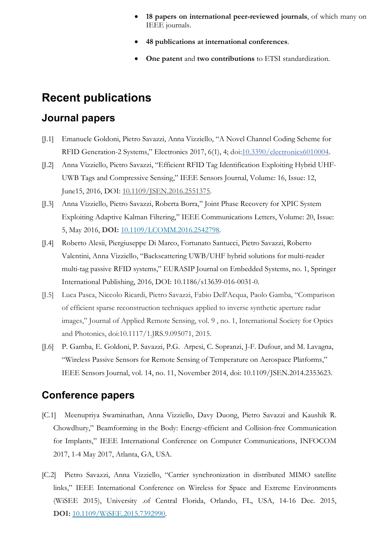- 18 papers on international peer-reviewed journals, of which many on IEEE journals.
- 48 publications at international conferences.
- One patent and two contributions to ETSI standardization.

## Recent publications

### Journal papers

- [J.1] Emanuele Goldoni, Pietro Savazzi, Anna Vizziello, "A Novel Channel Coding Scheme for RFID Generation-2 Systems," Electronics 2017, 6(1), 4; doi:10.3390/electronics6010004.
- [J.2] Anna Vizziello, Pietro Savazzi, "Efficient RFID Tag Identification Exploiting Hybrid UHF-UWB Tags and Compressive Sensing," IEEE Sensors Journal, Volume: 16, Issue: 12, June15, 2016, DOI: 10.1109/JSEN.2016.2551375.
- [J.3] Anna Vizziello, Pietro Savazzi, Roberta Borra," Joint Phase Recovery for XPIC System Exploiting Adaptive Kalman Filtering," IEEE Communications Letters, Volume: 20, Issue: 5, May 2016, DOI: 10.1109/LCOMM.2016.2542798.
- [J.4] Roberto Alesii, Piergiuseppe Di Marco, Fortunato Santucci, Pietro Savazzi, Roberto Valentini, Anna Vizziello, "Backscattering UWB/UHF hybrid solutions for multi-reader multi-tag passive RFID systems," EURASIP Journal on Embedded Systems, no. 1, Springer International Publishing, 2016, DOI: 10.1186/s13639-016-0031-0.
- [J.5] Luca Pasca, Niccolo Ricardi, Pietro Savazzi, Fabio Dell'Acqua, Paolo Gamba, "Comparison of efficient sparse reconstruction techniques applied to inverse synthetic aperture radar images," Journal of Applied Remote Sensing, vol. 9 , no. 1, International Society for Optics and Photonics, doi:10.1117/1.JRS.9.095071, 2015.
- [J.6] P. Gamba, E. Goldoni, P. Savazzi, P.G. Arpesi, C. Sopranzi, J-F. Dufour, and M. Lavagna, "Wireless Passive Sensors for Remote Sensing of Temperature on Aerospace Platforms," IEEE Sensors Journal, vol. 14, no. 11, November 2014, doi: 10.1109/JSEN.2014.2353623.

### Conference papers

- [C.1] Meenupriya Swaminathan, Anna Vizziello, Davy Duong, Pietro Savazzi and Kaushik R. Chowdhury," Beamforming in the Body: Energy-efficient and Collision-free Communication for Implants," IEEE International Conference on Computer Communications, INFOCOM 2017, 1-4 May 2017, Atlanta, GA, USA.
- [C.2] Pietro Savazzi, Anna Vizziello, "Carrier synchronization in distributed MIMO satellite links," IEEE International Conference on Wireless for Space and Extreme Environments (WiSEE 2015), University .of Central Florida, Orlando, FL, USA, 14-16 Dec. 2015, DOI: 10.1109/WiSEE.2015.7392990.